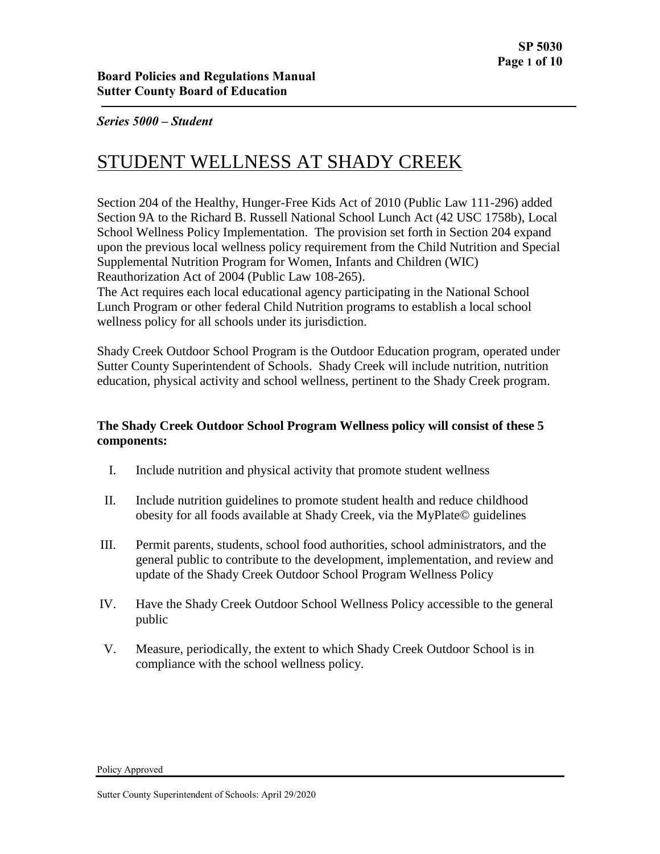# STUDENT WELLNESS AT SHADY CREEK

Section 204 of the Healthy, Hunger-Free Kids Act of 2010 (Public Law 111-296) added Section 9A to the Richard B. Russell National School Lunch Act (42 USC 1758b), Local School Wellness Policy Implementation. The provision set forth in Section 204 expand upon the previous local wellness policy requirement from the Child Nutrition and Special Supplemental Nutrition Program for Women, Infants and Children (WIC) Reauthorization Act of 2004 (Public Law 108-265).

The Act requires each local educational agency participating in the National School Lunch Program or other federal Child Nutrition programs to establish a local school wellness policy for all schools under its jurisdiction.

Shady Creek Outdoor School Program is the Outdoor Education program, operated under Sutter County Superintendent of Schools. Shady Creek will include nutrition, nutrition education, physical activity and school wellness, pertinent to the Shady Creek program.

## **The Shady Creek Outdoor School Program Wellness policy will consist of these 5 components:**

- I. Include nutrition and physical activity that promote student wellness
- II. Include nutrition guidelines to promote student health and reduce childhood obesity for all foods available at Shady Creek, via the MyPlate© guidelines
- III. Permit parents, students, school food authorities, school administrators, and the general public to contribute to the development, implementation, and review and update of the Shady Creek Outdoor School Program Wellness Policy
- IV. Have the Shady Creek Outdoor School Wellness Policy accessible to the general public
- V. Measure, periodically, the extent to which Shady Creek Outdoor School is in compliance with the school wellness policy.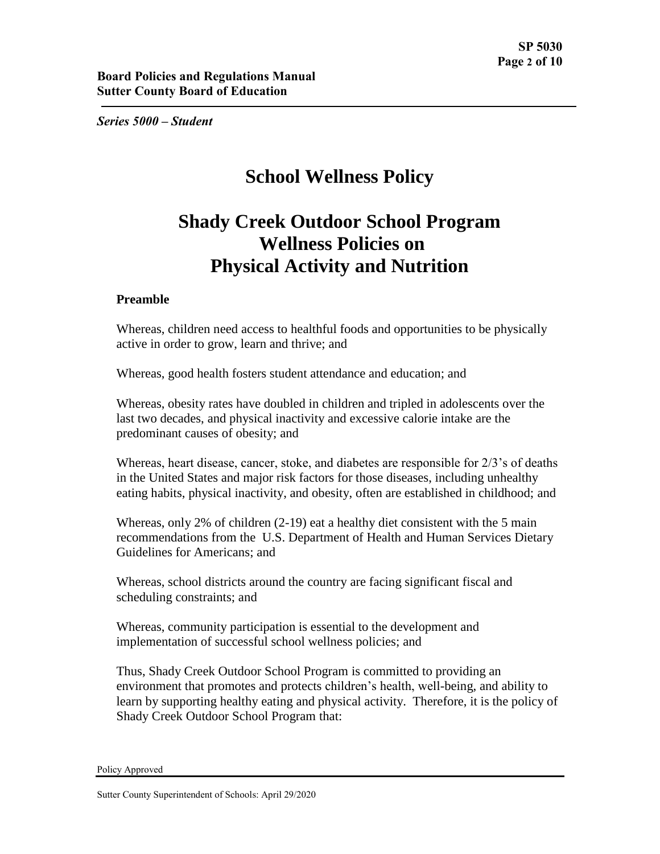# **School Wellness Policy**

# **Shady Creek Outdoor School Program Wellness Policies on Physical Activity and Nutrition**

## **Preamble**

Whereas, children need access to healthful foods and opportunities to be physically active in order to grow, learn and thrive; and

Whereas, good health fosters student attendance and education; and

Whereas, obesity rates have doubled in children and tripled in adolescents over the last two decades, and physical inactivity and excessive calorie intake are the predominant causes of obesity; and

Whereas, heart disease, cancer, stoke, and diabetes are responsible for 2/3's of deaths in the United States and major risk factors for those diseases, including unhealthy eating habits, physical inactivity, and obesity, often are established in childhood; and

Whereas, only 2% of children (2-19) eat a healthy diet consistent with the 5 main recommendations from the U.S. Department of Health and Human Services Dietary Guidelines for Americans; and

Whereas, school districts around the country are facing significant fiscal and scheduling constraints; and

Whereas, community participation is essential to the development and implementation of successful school wellness policies; and

Thus, Shady Creek Outdoor School Program is committed to providing an environment that promotes and protects children's health, well-being, and ability to learn by supporting healthy eating and physical activity. Therefore, it is the policy of Shady Creek Outdoor School Program that: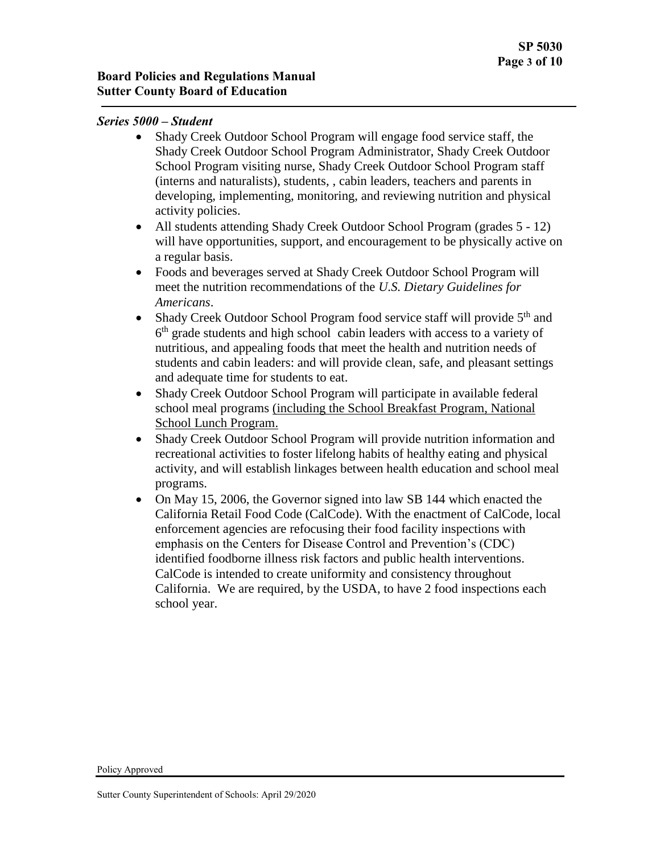- Shady Creek Outdoor School Program will engage food service staff, the Shady Creek Outdoor School Program Administrator, Shady Creek Outdoor School Program visiting nurse, Shady Creek Outdoor School Program staff (interns and naturalists), students, , cabin leaders, teachers and parents in developing, implementing, monitoring, and reviewing nutrition and physical activity policies.
- All students attending Shady Creek Outdoor School Program (grades 5 12) will have opportunities, support, and encouragement to be physically active on a regular basis.
- Foods and beverages served at Shady Creek Outdoor School Program will meet the nutrition recommendations of the *U.S. Dietary Guidelines for Americans*.
- Shady Creek Outdoor School Program food service staff will provide  $5<sup>th</sup>$  and 6<sup>th</sup> grade students and high school cabin leaders with access to a variety of nutritious, and appealing foods that meet the health and nutrition needs of students and cabin leaders: and will provide clean, safe, and pleasant settings and adequate time for students to eat.
- Shady Creek Outdoor School Program will participate in available federal school meal programs (including the School Breakfast Program, National School Lunch Program.
- Shady Creek Outdoor School Program will provide nutrition information and recreational activities to foster lifelong habits of healthy eating and physical activity, and will establish linkages between health education and school meal programs.
- On May 15, 2006, the Governor signed into law SB 144 which enacted the California Retail Food Code (CalCode). With the enactment of CalCode, local enforcement agencies are refocusing their food facility inspections with emphasis on the Centers for Disease Control and Prevention's (CDC) identified foodborne illness risk factors and public health interventions. CalCode is intended to create uniformity and consistency throughout California. We are required, by the USDA, to have 2 food inspections each school year.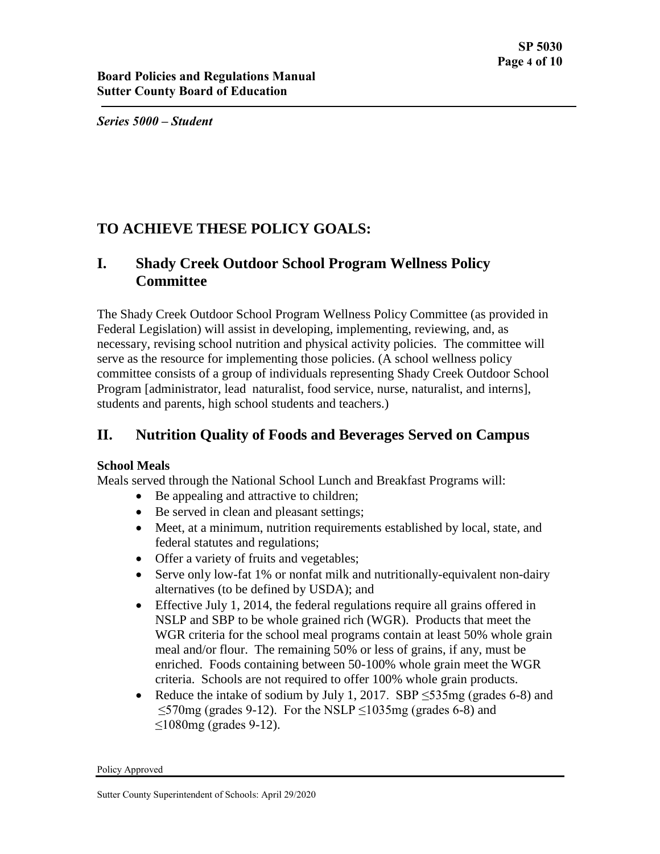## **TO ACHIEVE THESE POLICY GOALS:**

## **I. Shady Creek Outdoor School Program Wellness Policy Committee**

The Shady Creek Outdoor School Program Wellness Policy Committee (as provided in Federal Legislation) will assist in developing, implementing, reviewing, and, as necessary, revising school nutrition and physical activity policies. The committee will serve as the resource for implementing those policies. (A school wellness policy committee consists of a group of individuals representing Shady Creek Outdoor School Program [administrator, lead naturalist, food service, nurse, naturalist, and interns], students and parents, high school students and teachers.)

## **II. Nutrition Quality of Foods and Beverages Served on Campus**

## **School Meals**

Meals served through the National School Lunch and Breakfast Programs will:

- Be appealing and attractive to children;
- Be served in clean and pleasant settings;
- Meet, at a minimum, nutrition requirements established by local, state, and federal statutes and regulations;
- Offer a variety of fruits and vegetables;
- Serve only low-fat 1% or nonfat milk and nutritionally-equivalent non-dairy alternatives (to be defined by USDA); and
- Effective July 1, 2014, the federal regulations require all grains offered in NSLP and SBP to be whole grained rich (WGR). Products that meet the WGR criteria for the school meal programs contain at least 50% whole grain meal and/or flour. The remaining 50% or less of grains, if any, must be enriched. Foods containing between 50-100% whole grain meet the WGR criteria. Schools are not required to offer 100% whole grain products.
- Reduce the intake of sodium by July 1, 2017. SBP  $\leq$ 535mg (grades 6-8) and  $\leq$ 570mg (grades 9-12). For the NSLP  $\leq$ 1035mg (grades 6-8) and ≤1080mg (grades 9-12).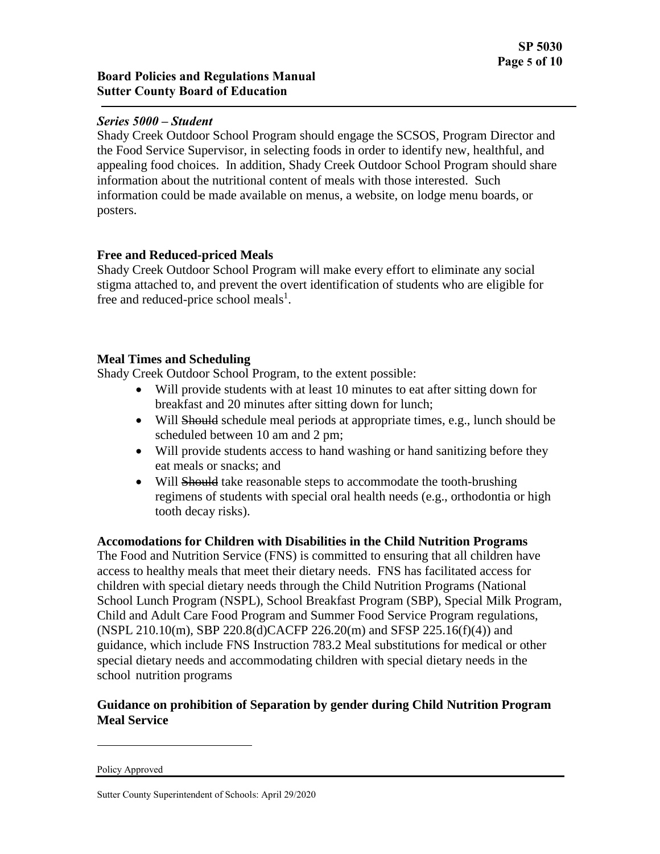Shady Creek Outdoor School Program should engage the SCSOS, Program Director and the Food Service Supervisor, in selecting foods in order to identify new, healthful, and appealing food choices. In addition, Shady Creek Outdoor School Program should share information about the nutritional content of meals with those interested. Such information could be made available on menus, a website, on lodge menu boards, or posters.

## **Free and Reduced-priced Meals**

Shady Creek Outdoor School Program will make every effort to eliminate any social stigma attached to, and prevent the overt identification of students who are eligible for free and reduced-price school meals<sup>1</sup>.

## **Meal Times and Scheduling**

Shady Creek Outdoor School Program, to the extent possible:

- Will provide students with at least 10 minutes to eat after sitting down for breakfast and 20 minutes after sitting down for lunch;
- Will Should schedule meal periods at appropriate times, e.g., lunch should be scheduled between 10 am and 2 pm;
- Will provide students access to hand washing or hand sanitizing before they eat meals or snacks; and
- Will Should take reasonable steps to accommodate the tooth-brushing regimens of students with special oral health needs (e.g., orthodontia or high tooth decay risks).

## **Accomodations for Children with Disabilities in the Child Nutrition Programs**

The Food and Nutrition Service (FNS) is committed to ensuring that all children have access to healthy meals that meet their dietary needs. FNS has facilitated access for children with special dietary needs through the Child Nutrition Programs (National School Lunch Program (NSPL), School Breakfast Program (SBP), Special Milk Program, Child and Adult Care Food Program and Summer Food Service Program regulations, (NSPL 210.10(m), SBP 220.8(d)CACFP 226.20(m) and SFSP 225.16(f)(4)) and guidance, which include FNS Instruction 783.2 Meal substitutions for medical or other special dietary needs and accommodating children with special dietary needs in the school nutrition programs

## **Guidance on prohibition of Separation by gender during Child Nutrition Program Meal Service**

 $\overline{a}$ 

Policy Approved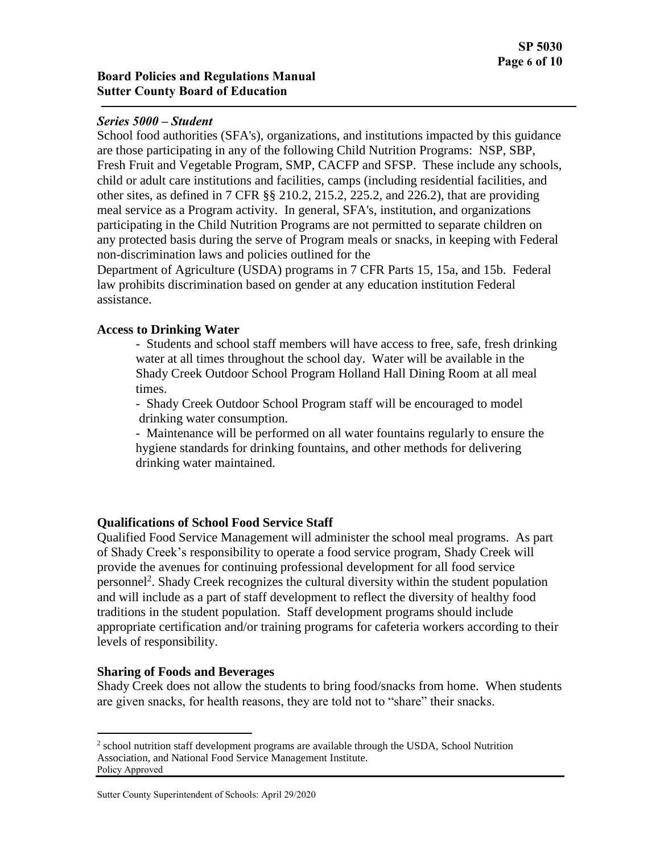School food authorities (SFA's), organizations, and institutions impacted by this guidance are those participating in any of the following Child Nutrition Programs: NSP, SBP, Fresh Fruit and Vegetable Program, SMP, CACFP and SFSP. These include any schools, child or adult care institutions and facilities, camps (including residential facilities, and other sites, as defined in 7 CFR §§ 210.2, 215.2, 225.2, and 226.2), that are providing meal service as a Program activity. In general, SFA's, institution, and organizations participating in the Child Nutrition Programs are not permitted to separate children on any protected basis during the serve of Program meals or snacks, in keeping with Federal non-discrimination laws and policies outlined for the

Department of Agriculture (USDA) programs in 7 CFR Parts 15, 15a, and 15b. Federal law prohibits discrimination based on gender at any education institution Federal assistance.

#### **Access to Drinking Water**

- Students and school staff members will have access to free, safe, fresh drinking water at all times throughout the school day. Water will be available in the Shady Creek Outdoor School Program Holland Hall Dining Room at all meal times.

- Shady Creek Outdoor School Program staff will be encouraged to model drinking water consumption.

- Maintenance will be performed on all water fountains regularly to ensure the hygiene standards for drinking fountains, and other methods for delivering drinking water maintained.

## **Qualifications of School Food Service Staff**

Qualified Food Service Management will administer the school meal programs. As part of Shady Creek's responsibility to operate a food service program, Shady Creek will provide the avenues for continuing professional development for all food service personnel<sup>2</sup>. Shady Creek recognizes the cultural diversity within the student population and will include as a part of staff development to reflect the diversity of healthy food traditions in the student population. Staff development programs should include appropriate certification and/or training programs for cafeteria workers according to their levels of responsibility.

## **Sharing of Foods and Beverages**

 $\overline{a}$ 

Shady Creek does not allow the students to bring food/snacks from home. When students are given snacks, for health reasons, they are told not to "share" their snacks.

Policy Approved  $2$  school nutrition staff development programs are available through the USDA, School Nutrition Association, and National Food Service Management Institute.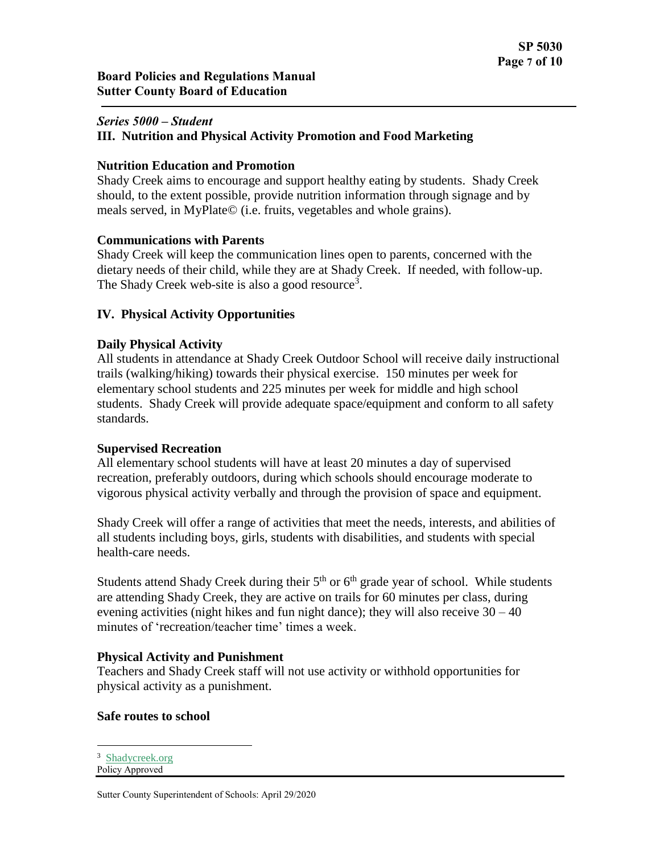#### **III. Nutrition and Physical Activity Promotion and Food Marketing**

#### **Nutrition Education and Promotion**

Shady Creek aims to encourage and support healthy eating by students. Shady Creek should, to the extent possible, provide nutrition information through signage and by meals served, in MyPlate© (i.e. fruits, vegetables and whole grains).

#### **Communications with Parents**

Shady Creek will keep the communication lines open to parents, concerned with the dietary needs of their child, while they are at Shady Creek. If needed, with follow-up. The Shady Creek web-site is also a good resource<sup>3</sup>.

## **IV. Physical Activity Opportunities**

#### **Daily Physical Activity**

All students in attendance at Shady Creek Outdoor School will receive daily instructional trails (walking/hiking) towards their physical exercise. 150 minutes per week for elementary school students and 225 minutes per week for middle and high school students. Shady Creek will provide adequate space/equipment and conform to all safety standards.

#### **Supervised Recreation**

All elementary school students will have at least 20 minutes a day of supervised recreation, preferably outdoors, during which schools should encourage moderate to vigorous physical activity verbally and through the provision of space and equipment.

Shady Creek will offer a range of activities that meet the needs, interests, and abilities of all students including boys, girls, students with disabilities, and students with special health-care needs.

Students attend Shady Creek during their  $5<sup>th</sup>$  or  $6<sup>th</sup>$  grade year of school. While students are attending Shady Creek, they are active on trails for 60 minutes per class, during evening activities (night hikes and fun night dance); they will also receive  $30 - 40$ minutes of 'recreation/teacher time' times a week.

#### **Physical Activity and Punishment**

Teachers and Shady Creek staff will not use activity or withhold opportunities for physical activity as a punishment.

#### **Safe routes to school**

```
Policy Approved
<sup>3</sup> Shadycreek.org
```
 $\overline{a}$ 

Sutter County Superintendent of Schools: April 29/2020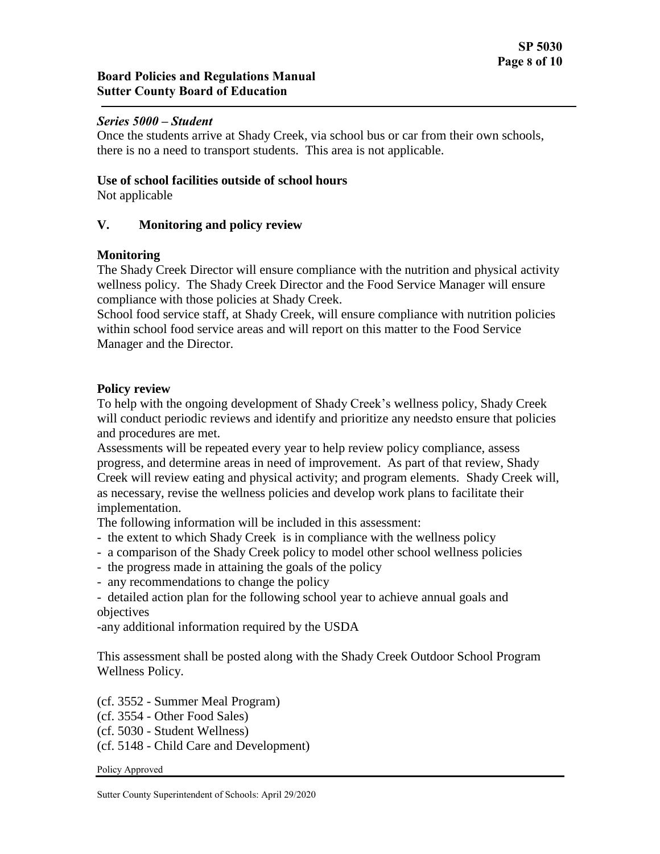Once the students arrive at Shady Creek, via school bus or car from their own schools, there is no a need to transport students. This area is not applicable.

#### **Use of school facilities outside of school hours**

Not applicable

## **V. Monitoring and policy review**

## **Monitoring**

The Shady Creek Director will ensure compliance with the nutrition and physical activity wellness policy. The Shady Creek Director and the Food Service Manager will ensure compliance with those policies at Shady Creek.

School food service staff, at Shady Creek, will ensure compliance with nutrition policies within school food service areas and will report on this matter to the Food Service Manager and the Director.

## **Policy review**

To help with the ongoing development of Shady Creek's wellness policy, Shady Creek will conduct periodic reviews and identify and prioritize any needsto ensure that policies and procedures are met.

Assessments will be repeated every year to help review policy compliance, assess progress, and determine areas in need of improvement. As part of that review, Shady Creek will review eating and physical activity; and program elements. Shady Creek will, as necessary, revise the wellness policies and develop work plans to facilitate their implementation.

The following information will be included in this assessment:

- the extent to which Shady Creek is in compliance with the wellness policy
- a comparison of the Shady Creek policy to model other school wellness policies
- the progress made in attaining the goals of the policy
- any recommendations to change the policy
- detailed action plan for the following school year to achieve annual goals and objectives

-any additional information required by the USDA

This assessment shall be posted along with the Shady Creek Outdoor School Program Wellness Policy.

(cf. 3552 - Summer Meal Program) (cf. 3554 - Other Food Sales) (cf. 5030 - Student Wellness) (cf. 5148 - Child Care and Development)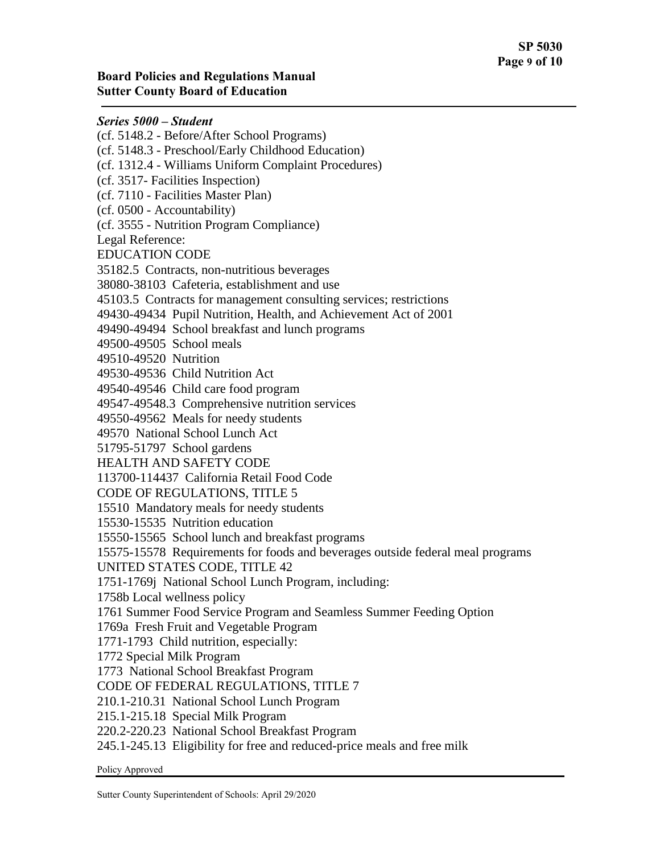(cf. 5148.2 - Before/After School Programs) (cf. 5148.3 - Preschool/Early Childhood Education) (cf. 1312.4 - Williams Uniform Complaint Procedures) (cf. 3517- Facilities Inspection) (cf. 7110 - Facilities Master Plan) (cf. 0500 - Accountability) (cf. 3555 - Nutrition Program Compliance) Legal Reference: EDUCATION CODE 35182.5 Contracts, non-nutritious beverages 38080-38103 Cafeteria, establishment and use 45103.5 Contracts for management consulting services; restrictions 49430-49434 Pupil Nutrition, Health, and Achievement Act of 2001 49490-49494 School breakfast and lunch programs 49500-49505 School meals 49510-49520 Nutrition 49530-49536 Child Nutrition Act 49540-49546 Child care food program 49547-49548.3 Comprehensive nutrition services 49550-49562 Meals for needy students 49570 National School Lunch Act 51795-51797 School gardens HEALTH AND SAFETY CODE 113700-114437 California Retail Food Code CODE OF REGULATIONS, TITLE 5 15510 Mandatory meals for needy students 15530-15535 Nutrition education 15550-15565 School lunch and breakfast programs 15575-15578 Requirements for foods and beverages outside federal meal programs UNITED STATES CODE, TITLE 42 1751-1769j National School Lunch Program, including: 1758b Local wellness policy 1761 Summer Food Service Program and Seamless Summer Feeding Option 1769a Fresh Fruit and Vegetable Program 1771-1793 Child nutrition, especially: 1772 Special Milk Program 1773 National School Breakfast Program CODE OF FEDERAL REGULATIONS, TITLE 7 210.1-210.31 National School Lunch Program 215.1-215.18 Special Milk Program 220.2-220.23 National School Breakfast Program 245.1-245.13 Eligibility for free and reduced-price meals and free milk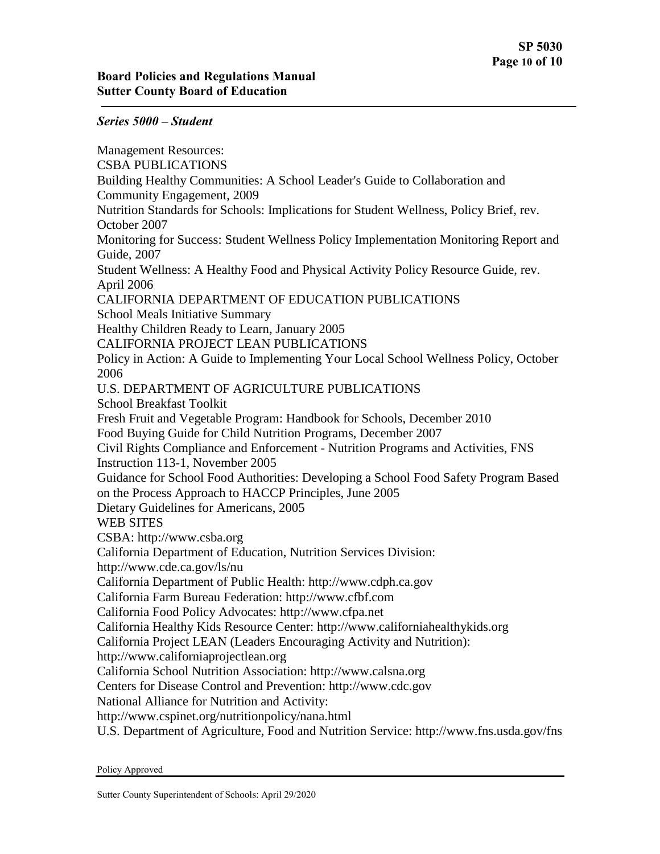Management Resources: CSBA PUBLICATIONS Building Healthy Communities: A School Leader's Guide to Collaboration and Community Engagement, 2009 Nutrition Standards for Schools: Implications for Student Wellness, Policy Brief, rev. October 2007 Monitoring for Success: Student Wellness Policy Implementation Monitoring Report and Guide, 2007 Student Wellness: A Healthy Food and Physical Activity Policy Resource Guide, rev. April 2006 CALIFORNIA DEPARTMENT OF EDUCATION PUBLICATIONS School Meals Initiative Summary Healthy Children Ready to Learn, January 2005 CALIFORNIA PROJECT LEAN PUBLICATIONS Policy in Action: A Guide to Implementing Your Local School Wellness Policy, October 2006 U.S. DEPARTMENT OF AGRICULTURE PUBLICATIONS School Breakfast Toolkit Fresh Fruit and Vegetable Program: Handbook for Schools, December 2010 Food Buying Guide for Child Nutrition Programs, December 2007 Civil Rights Compliance and Enforcement - Nutrition Programs and Activities, FNS Instruction 113-1, November 2005 Guidance for School Food Authorities: Developing a School Food Safety Program Based on the Process Approach to HACCP Principles, June 2005 Dietary Guidelines for Americans, 2005 WEB SITES CSBA: http://www.csba.org California Department of Education, Nutrition Services Division: http://www.cde.ca.gov/ls/nu California Department of Public Health: http://www.cdph.ca.gov California Farm Bureau Federation: http://www.cfbf.com California Food Policy Advocates: http://www.cfpa.net California Healthy Kids Resource Center: http://www.californiahealthykids.org California Project LEAN (Leaders Encouraging Activity and Nutrition): http://www.californiaprojectlean.org California School Nutrition Association: http://www.calsna.org Centers for Disease Control and Prevention: http://www.cdc.gov National Alliance for Nutrition and Activity: http://www.cspinet.org/nutritionpolicy/nana.html U.S. Department of Agriculture, Food and Nutrition Service: http://www.fns.usda.gov/fns